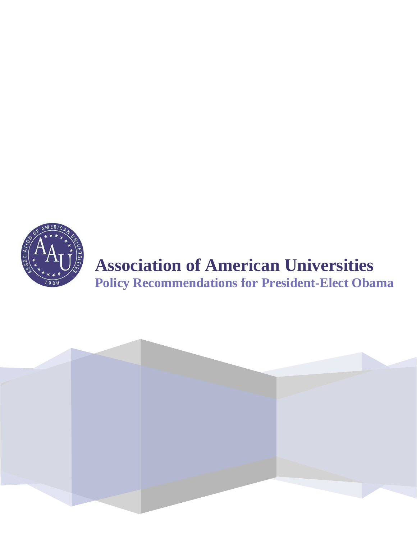

# **Association of American Universities Policy Recommendations for President-Elect Obama**

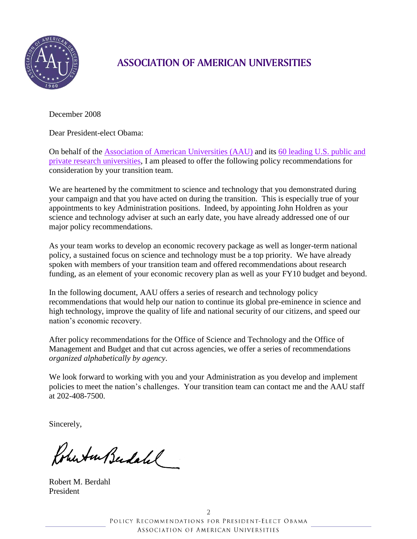

#### **ASSOCIATION OF AMERICAN UNIVERSITIES**

December 2008

Dear President-elect Obama:

On behalf of the Association of American Universities (AAU) and its 60 leading U.S. public and private research universities, I am pleased to offer the following policy recommendations for consideration by your transition team.

We are heartened by the commitment to science and technology that you demonstrated during your campaign and that you have acted on during the transition. This is especially true of your appointments to key Administration positions. Indeed, by appointing John Holdren as your science and technology adviser at such an early date, you have already addressed one of our major policy recommendations.

As your team works to develop an economic recovery package as well as longer-term national policy, a sustained focus on science and technology must be a top priority. We have already spoken with members of your transition team and offered recommendations about research funding, as an element of your economic recovery plan as well as your FY10 budget and beyond.

In the following document, AAU offers a series of research and technology policy recommendations that would help our nation to continue its global pre-eminence in science and high technology, improve the quality of life and national security of our citizens, and speed our nation's economic recovery.

After policy recommendations for the Office of Science and Technology and the Office of Management and Budget and that cut across agencies, we offer a series of recommendations *organized alphabetically by agency*.

We look forward to working with you and your Administration as you develop and implement policies to meet the nation's challenges. Your transition team can contact me and the AAU staff at 202-408-7500.

Sincerely,

Robertu Berdalel

Robert M. Berdahl President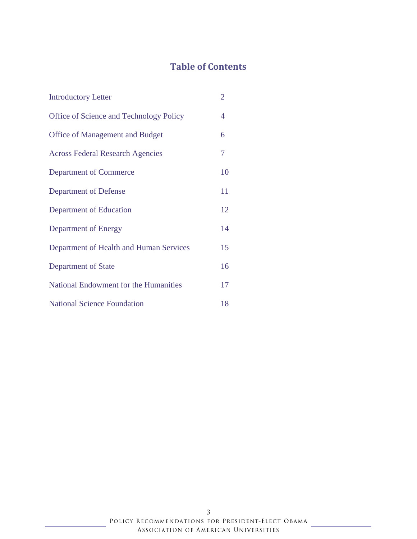#### **Table of Contents**

| <b>Introductory Letter</b>              | $\overline{2}$ |
|-----------------------------------------|----------------|
| Office of Science and Technology Policy | 4              |
| Office of Management and Budget         | 6              |
| <b>Across Federal Research Agencies</b> | 7              |
| <b>Department of Commerce</b>           | 10             |
| Department of Defense                   | 11             |
| Department of Education                 | 12             |
| Department of Energy                    | 14             |
| Department of Health and Human Services | 15             |
| Department of State                     | 16             |
| National Endowment for the Humanities   | 17             |
| <b>National Science Foundation</b>      | 18             |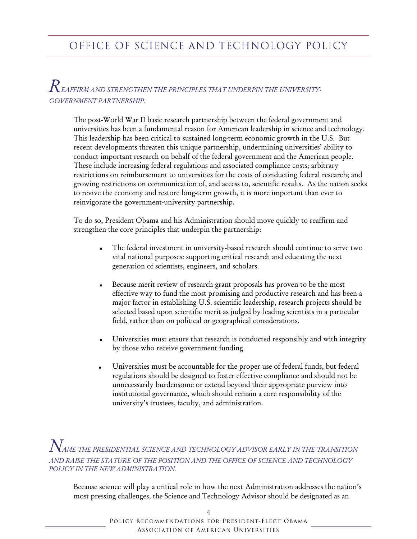### $R$  eaffirm and strengthen the principles that underpin the university-*GOVERNMENT PARTNERSHIP.*

The post-World War II basic research partnership between the federal government and universities has been a fundamental reason for American leadership in science and technology. This leadership has been critical to sustained long-term economic growth in the U.S. But recent developments threaten this unique partnership, undermining universities' ability to conduct important research on behalf of the federal government and the American people. These include increasing federal regulations and associated compliance costs; arbitrary restrictions on reimbursement to universities for the costs of conducting federal research; and growing restrictions on communication of, and access to, scientific results. As the nation seeks to revive the economy and restore long-term growth, it is more important than ever to reinvigorate the government-university partnership.

To do so, President Obama and his Administration should move quickly to reaffirm and strengthen the core principles that underpin the partnership:

- The federal investment in university-based research should continue to serve two vital national purposes: supporting critical research and educating the next generation of scientists, engineers, and scholars.
- Because merit review of research grant proposals has proven to be the most effective way to fund the most promising and productive research and has been a major factor in establishing U.S. scientific leadership, research projects should be selected based upon scientific merit as judged by leading scientists in a particular field, rather than on political or geographical considerations.
- Universities must ensure that research is conducted responsibly and with integrity by those who receive government funding.
- Universities must be accountable for the proper use of federal funds, but federal regulations should be designed to foster effective compliance and should not be unnecessarily burdensome or extend beyond their appropriate purview into institutional governance, which should remain a core responsibility of the university's trustees, faculty, and administration.

*NAME THE PRESIDENTIAL SCIENCE AND TECHNOLOGY ADVISOR EARLY IN THE TRANSITION AND RAISE THE STATURE OF THE POSITION AND THE OFFICE OF SCIENCE AND TECHNOLOGY POLICY IN THE NEW ADMINISTRATION.* 

Because science will play a critical role in how the next Administration addresses the nation's most pressing challenges, the Science and Technology Advisor should be designated as an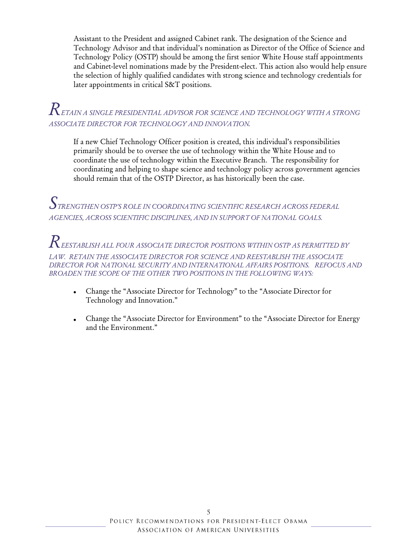Assistant to the President and assigned Cabinet rank. The designation of the Science and Technology Advisor and that individual's nomination as Director of the Office of Science and Technology Policy (OSTP) should be among the first senior White House staff appointments and Cabinet-level nominations made by the President-elect. This action also would help ensure the selection of highly qualified candidates with strong science and technology credentials for later appointments in critical S&T positions.

### $R$  etain a single presidential advisor for science and technology with a strong ASSOCIATE DIRECTOR FOR TECHNOLOGY AND INNOVATION.

If a new Chief Technology Officer position is created, this individual's responsibilities primarily should be to oversee the use of technology within the White House and to coordinate the use of technology within the Executive Branch. The responsibility for coordinating and helping to shape science and technology policy across government agencies should remain that of the OSTP Director, as has historically been the case.

 $S$ TRENGTHEN OSTP'S ROLE IN COORDINATING SCIENTIFIC RESEARCH ACROSS FEDERAL AGENCIES, ACROSS SCIENTIFIC DISCIPLINES, AND IN SUPPORT OF NATIONAL GOALS.

 ${\displaystyle {\pmb R}}$ eestablish all four associate director positions within ostp as permitted by LAW. RETAIN THE ASSOCIATE DIRECTOR FOR SCIENCE AND REESTABLISH THE ASSOCIATE DIRECTOR FOR NATIONAL SECURITY AND INTERNATIONAL AFFAIRS POSITIONS. REFOCUS AND BROADEN THE SCOPE OF THE OTHER TWO POSITIONS IN THE FOLLOWING WAYS:

- Change the "Associate Director for Technology" to the "Associate Director for  $\bullet$ Technology and Innovation."
- Change the "Associate Director for Environment" to the "Associate Director for Energy and the Environment."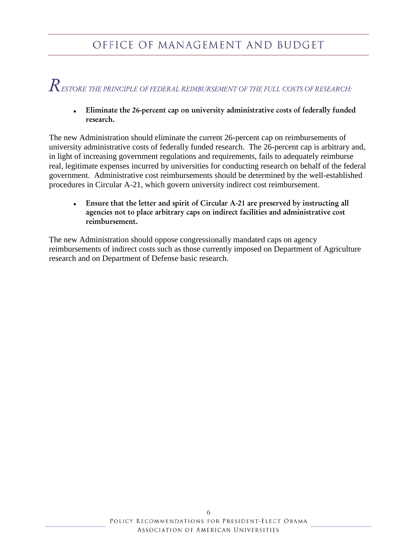### OFFICE OF MANAGEMENT AND BUDGET

 $R$  estore the principle of federal reimbursement of the full costs of research:

**Eliminate the 26-percent cap on university administrative costs of federally funded research.** 

The new Administration should eliminate the current 26-percent cap on reimbursements of university administrative costs of federally funded research. The 26-percent cap is arbitrary and, in light of increasing government regulations and requirements, fails to adequately reimburse real, legitimate expenses incurred by universities for conducting research on behalf of the federal government. Administrative cost reimbursements should be determined by the well-established procedures in Circular A-21, which govern university indirect cost reimbursement.

**Ensure that the letter and spirit of Circular A-21 are preserved by instructing all agencies not to place arbitrary caps on indirect facilities and administrative cost reimbursement.** 

The new Administration should oppose congressionally mandated caps on agency reimbursements of indirect costs such as those currently imposed on Department of Agriculture research and on Department of Defense basic research.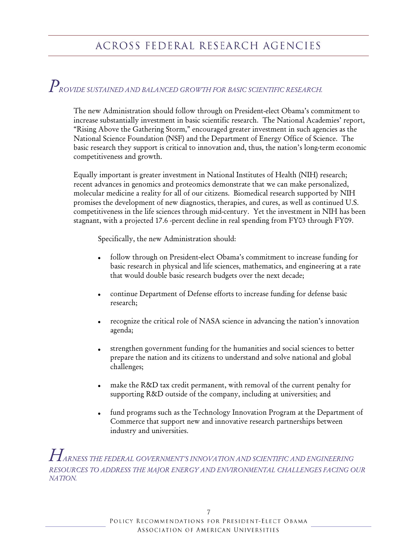# $P_{\tiny{ROVIDE\;SUSTAINED\; AND\; BALANCED\; GROWTH\; FOR\; BASIC\; SCIENTIFIC\; RESEARCH.}}$

The new Administration should follow through on President-elect Obama's commitment to increase substantially investment in basic scientific research. The National Academies' report, "Rising Above the Gathering Storm," encouraged greater investment in such agencies as the National Science Foundation (NSF) and the Department of Energy Office of Science. The basic research they support is critical to innovation and, thus, the nation's long-term economic competitiveness and growth.

Equally important is greater investment in National Institutes of Health (NIH) research; recent advances in genomics and proteomics demonstrate that we can make personalized, molecular medicine a reality for all of our citizens. Biomedical research supported by NIH promises the development of new diagnostics, therapies, and cures, as well as continued U.S. competitiveness in the life sciences through mid-century. Yet the investment in NIH has been stagnant, with a projected 17.6 -percent decline in real spending from FY03 through FY09.

Specifically, the new Administration should:

- follow through on President-elect Obama's commitment to increase funding for basic research in physical and life sciences, mathematics, and engineering at a rate that would double basic research budgets over the next decade;
- continue Department of Defense efforts to increase funding for defense basic research;
- recognize the critical role of NASA science in advancing the nation's innovation agenda;
- strengthen government funding for the humanities and social sciences to better prepare the nation and its citizens to understand and solve national and global challenges;
- make the R&D tax credit permanent, with removal of the current penalty for supporting R&D outside of the company, including at universities; and
- fund programs such as the Technology Innovation Program at the Department of Commerce that support new and innovative research partnerships between industry and universities.

 $H_{\scriptscriptstyle ARNESS\,THE\, FEDERAL\,GOVERNMENT'S\,INNOVATION\, AND\, SCIENTIFIC\, AND\, ENGINEERING}$ RESOURCES TO ADDRESS THE MAJOR ENERGY AND ENVIRONMENTAL CHALLENGES FACING OUR NATION.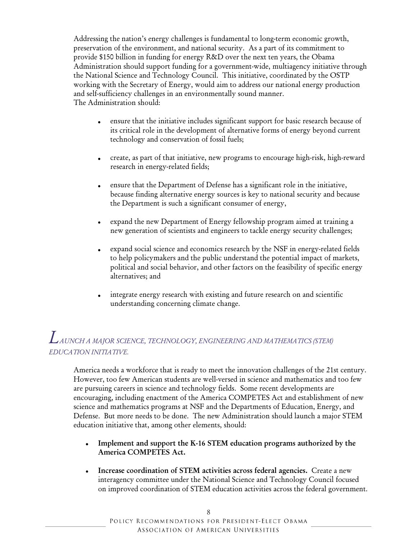Addressing the nation's energy challenges is fundamental to long-term economic growth, preservation of the environment, and national security. As a part of its commitment to provide \$150 billion in funding for energy R&D over the next ten years, the Obama Administration should support funding for a government-wide, multiagency initiative through the National Science and Technology Council. This initiative, coordinated by the OSTP working with the Secretary of Energy, would aim to address our national energy production and self-sufficiency challenges in an environmentally sound manner. The Administration should:

- ensure that the initiative includes significant support for basic research because of its critical role in the development of alternative forms of energy beyond current technology and conservation of fossil fuels;
- create, as part of that initiative, new programs to encourage high-risk, high-reward research in energy-related fields;
- ensure that the Department of Defense has a significant role in the initiative, because finding alternative energy sources is key to national security and because the Department is such a significant consumer of energy,
- expand the new Department of Energy fellowship program aimed at training a new generation of scientists and engineers to tackle energy security challenges;
- expand social science and economics research by the NSF in energy-related fields to help policymakers and the public understand the potential impact of markets, political and social behavior, and other factors on the feasibility of specific energy alternatives; and
- integrate energy research with existing and future research on and scientific understanding concerning climate change.

#### *LAUNCH A MAJOR SCIENCE, TECHNOLOGY, ENGINEERING AND MATHEMATICS (STEM) EDUCATION INITIATIVE.*

America needs a workforce that is ready to meet the innovation challenges of the 21st century. However, too few American students are well-versed in science and mathematics and too few are pursuing careers in science and technology fields. Some recent developments are encouraging, including enactment of the America COMPETES Act and establishment of new science and mathematics programs at NSF and the Departments of Education, Energy, and Defense. But more needs to be done. The new Administration should launch a major STEM education initiative that, among other elements, should:

- **Implement and support the K-16 STEM education programs authorized by the America COMPETES Act.**
- $\bullet$ **Increase coordination of STEM activities across federal agencies.** Create a new interagency committee under the National Science and Technology Council focused on improved coordination of STEM education activities across the federal government.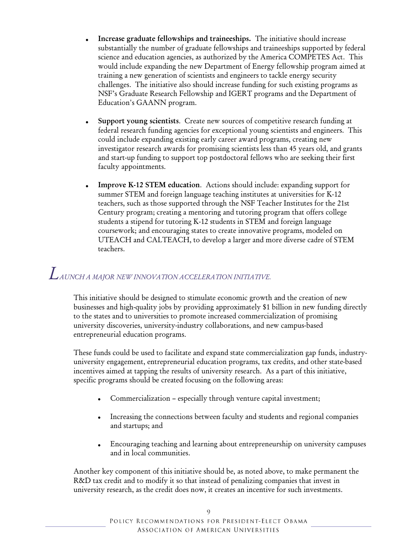- **Increase graduate fellowships and traineeships.** The initiative should increase  $\bullet$ substantially the number of graduate fellowships and traineeships supported by federal science and education agencies, as authorized by the America COMPETES Act. This would include expanding the new Department of Energy fellowship program aimed at training a new generation of scientists and engineers to tackle energy security challenges. The initiative also should increase funding for such existing programs as NSF's Graduate Research Fellowship and IGERT programs and the Department of Education's GAANN program.
- **Support young scientists**. Create new sources of competitive research funding at federal research funding agencies for exceptional young scientists and engineers. This could include expanding existing early career award programs, creating new investigator research awards for promising scientists less than 45 years old, and grants and start-up funding to support top postdoctoral fellows who are seeking their first faculty appointments.
- **Improve K-12 STEM education**. Actions should include: expanding support for  $\bullet$ summer STEM and foreign language teaching institutes at universities for K-12 teachers, such as those supported through the NSF Teacher Institutes for the 21st Century program; creating a mentoring and tutoring program that offers college students a stipend for tutoring K-12 students in STEM and foreign language coursework; and encouraging states to create innovative programs, modeled on UTEACH and CALTEACH, to develop a larger and more diverse cadre of STEM teachers.

# *LAUNCH A MAJOR NEW INNOVATION ACCELERATION INITIATIVE.*

This initiative should be designed to stimulate economic growth and the creation of new businesses and high-quality jobs by providing approximately \$1 billion in new funding directly to the states and to universities to promote increased commercialization of promising university discoveries, university-industry collaborations, and new campus-based entrepreneurial education programs.

These funds could be used to facilitate and expand state commercialization gap funds, industryuniversity engagement, entrepreneurial education programs, tax credits, and other state-based incentives aimed at tapping the results of university research. As a part of this initiative, specific programs should be created focusing on the following areas:

- Commercialization especially through venture capital investment;
- Increasing the connections between faculty and students and regional companies and startups; and
- Encouraging teaching and learning about entrepreneurship on university campuses and in local communities.

Another key component of this initiative should be, as noted above, to make permanent the R&D tax credit and to modify it so that instead of penalizing companies that invest in university research, as the credit does now, it creates an incentive for such investments.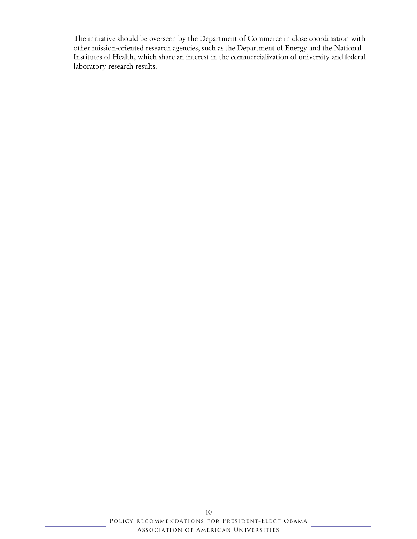The initiative should be overseen by the Department of Commerce in close coordination with other mission-oriented research agencies, such as the Department of Energy and the National Institutes of Health, which share an interest in the commercialization of university and federal laboratory research results.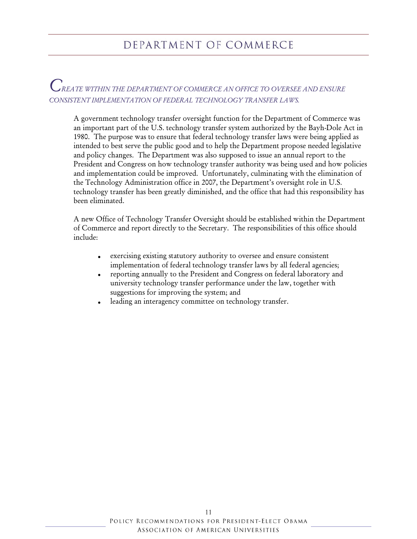#### DEPARTMENT OF COMMERCE

#### CREATE WITHIN THE DEPARTMENT OF COMMERCE AN OFFICE TO OVERSEE AND ENSURE CONSISTENT IMPLEMENTATION OF FEDERAL TECHNOLOGY TRANSFER LAWS.

A government technology transfer oversight function for the Department of Commerce was an important part of the U.S. technology transfer system authorized by the Bayh-Dole Act in 1980. The purpose was to ensure that federal technology transfer laws were being applied as intended to best serve the public good and to help the Department propose needed legislative and policy changes. The Department was also supposed to issue an annual report to the President and Congress on how technology transfer authority was being used and how policies and implementation could be improved. Unfortunately, culminating with the elimination of the Technology Administration office in 2007, the Department's oversight role in U.S. technology transfer has been greatly diminished, and the office that had this responsibility has been eliminated.

A new Office of Technology Transfer Oversight should be established within the Department of Commerce and report directly to the Secretary. The responsibilities of this office should include:

- exercising existing statutory authority to oversee and ensure consistent implementation of federal technology transfer laws by all federal agencies;
- reporting annually to the President and Congress on federal laboratory and university technology transfer performance under the law, together with suggestions for improving the system; and
- leading an interagency committee on technology transfer.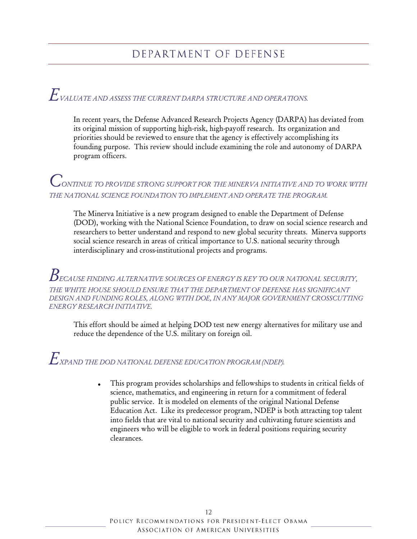#### DEPARTMENT OF DEFENSE

# $E_\text{\tiny{VALUATE\,AND\,ASSESS\,THE\,CURENT\,DARR\,STATE\,AND\,OPERATIONS.}}$

In recent years, the Defense Advanced Research Projects Agency (DARPA) has deviated from its original mission of supporting high-risk, high-payoff research. Its organization and priorities should be reviewed to ensure that the agency is effectively accomplishing its founding purpose. This review should include examining the role and autonomy of DARPA program officers.

#### $C_{\textit{ONTINUE}}$  to provide strong support for the minerva initiative and to work with *THE NATIONAL SCIENCE FOUNDATION TO IMPLEMENT AND OPERATE THE PROGRAM.*

The Minerva Initiative is a new program designed to enable the Department of Defense (DOD), working with the National Science Foundation, to draw on social science research and researchers to better understand and respond to new global security threats. Minerva supports social science research in areas of critical importance to U.S. national security through interdisciplinary and cross-institutional projects and programs.

*BECAUSE FINDING ALTERNATIVE SOURCES OF ENERGY IS KEY TO OUR NATIONAL SECURITY, THE WHITE HOUSE SHOULD ENSURE THAT THE DEPARTMENT OF DEFENSE HAS SIGNIFICANT DESIGN AND FUNDING ROLES, ALONG WITH DOE, IN ANY MAJOR GOVERNMENT CROSSCUTTING ENERGY RESEARCH INITIATIVE.* 

This effort should be aimed at helping DOD test new energy alternatives for military use and reduce the dependence of the U.S. military on foreign oil.

# $E_\text{\tiny{XPAND}}$  the dod national defense education program (ndep).

This program provides scholarships and fellowships to students in critical fields of science, mathematics, and engineering in return for a commitment of federal public service. It is modeled on elements of the original National Defense Education Act. Like its predecessor program, NDEP is both attracting top talent into fields that are vital to national security and cultivating future scientists and engineers who will be eligible to work in federal positions requiring security clearances.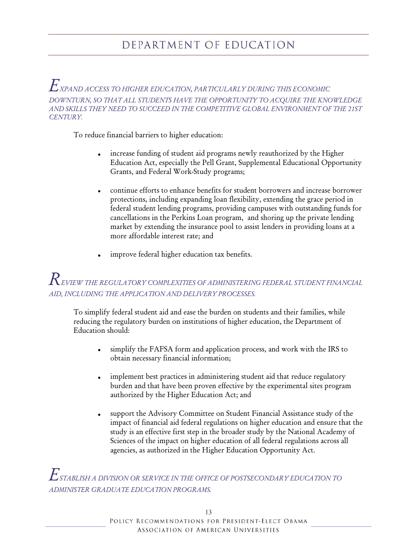## DEPARTMENT OF EDUCATION

#### $E_\text{\tiny{XPAND}\scriptsize{ACCESS}}$  to higher education, particularly during this economic *DOWNTURN, SO THAT ALL STUDENTS HAVE THE OPPORTUNITY TO ACQUIRE THE KNOWLEDGE AND SKILLS THEY NEED TO SUCCEED IN THE COMPETITIVE GLOBAL ENVIRONMENT OF THE 21ST CENTURY.*

To reduce financial barriers to higher education:

- increase funding of student aid programs newly reauthorized by the Higher Education Act, especially the Pell Grant, Supplemental Educational Opportunity Grants, and Federal Work-Study programs;
- continue efforts to enhance benefits for student borrowers and increase borrower protections, including expanding loan flexibility, extending the grace period in federal student lending programs, providing campuses with outstanding funds for cancellations in the Perkins Loan program, and shoring up the private lending market by extending the insurance pool to assist lenders in providing loans at a more affordable interest rate; and
- improve federal higher education tax benefits.

#### $R_\text{\emph{EVIEW THE REGULAR TORY COMPLEXITIES OF ADMINISTERING FEDERAL STUDENT FINANCIAL}$ *AID, INCLUDING THE APPLICATION AND DELIVERY PROCESSES.*

To simplify federal student aid and ease the burden on students and their families, while reducing the regulatory burden on institutions of higher education, the Department of Education should:

- simplify the FAFSA form and application process, and work with the IRS to obtain necessary financial information;
- implement best practices in administering student aid that reduce regulatory burden and that have been proven effective by the experimental sites program authorized by the Higher Education Act; and
- support the Advisory Committee on Student Financial Assistance study of the impact of financial aid federal regulations on higher education and ensure that the study is an effective first step in the broader study by the National Academy of Sciences of the impact on higher education of all federal regulations across all agencies, as authorized in the Higher Education Opportunity Act.

 $E_\textit{STABLISH\,\textit{A}$  division or service in the office of postsecondary education to *ADMINISTER GRADUATE EDUCATION PROGRAMS.*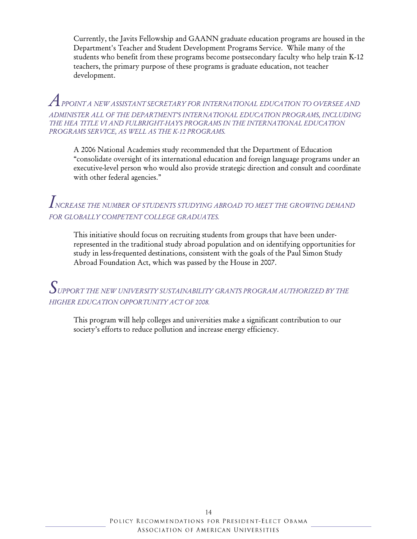Currently, the Javits Fellowship and GAANN graduate education programs are housed in the Department's Teacher and Student Development Programs Service. While many of the students who benefit from these programs become postsecondary faculty who help train K-12 teachers, the primary purpose of these programs is graduate education, not teacher development.

#### $A$  ppoint a new assistant secretary for international education to oversee and ADMINISTER ALL OF THE DEPARTMENT'S INTERNATIONAL EDUCATION PROGRAMS, INCLUDING THE HEA TITLE VI AND FULBRIGHT-HAYS PROGRAMS IN THE INTERNATIONAL EDUCATION PROGRAMS SERVICE, AS WELL AS THE K-12 PROGRAMS.

A 2006 National Academies study recommended that the Department of Education "consolidate oversight of its international education and foreign language programs under an executive-level person who would also provide strategic direction and consult and coordinate with other federal agencies."

#### NCREASE THE NUMBER OF STUDENTS STUDYING ABROAD TO MEET THE GROWING DEMAND FOR GLOBALLY COMPETENT COLLEGE GRADUATES.

This initiative should focus on recruiting students from groups that have been underrepresented in the traditional study abroad population and on identifying opportunities for study in less-frequented destinations, consistent with the goals of the Paul Simon Study Abroad Foundation Act, which was passed by the House in 2007.

 $\int_{I}$  ipport the new university sustainability grants program authorized by the HIGHER EDUCATION OPPORTUNITY ACT OF 2008.

This program will help colleges and universities make a significant contribution to our society's efforts to reduce pollution and increase energy efficiency.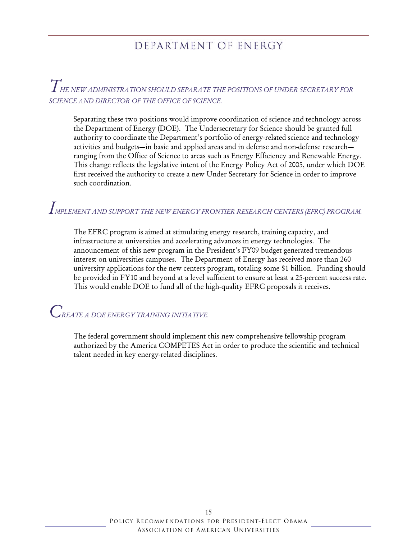#### DEPARTMENT OF ENERGY

#### $T$ he new administration should separate the positions of under secretary for **SCIENCE AND DIRECTOR OF THE OFFICE OF SCIENCE.**

Separating these two positions would improve coordination of science and technology across the Department of Energy (DOE). The Undersecretary for Science should be granted full authority to coordinate the Department's portfolio of energy-related science and technology activities and budgets-in basic and applied areas and in defense and non-defense researchranging from the Office of Science to areas such as Energy Efficiency and Renewable Energy. This change reflects the legislative intent of the Energy Policy Act of 2005, under which DOE first received the authority to create a new Under Secretary for Science in order to improve such coordination.

# *IMPLEMENT AND SUPPORT THE NEW ENERGY FRONTIER RESEARCH CENTERS (EFRC) PROGRAM.*

The EFRC program is aimed at stimulating energy research, training capacity, and infrastructure at universities and accelerating advances in energy technologies. The announcement of this new program in the President's FY09 budget generated tremendous interest on universities campuses. The Department of Energy has received more than 260 university applications for the new centers program, totaling some \$1 billion. Funding should be provided in FY10 and beyond at a level sufficient to ensure at least a 25-percent success rate. This would enable DOE to fund all of the high-quality EFRC proposals it receives.

## *CREATE A DOE ENERGY TRAINING INITIATIVE.*

The federal government should implement this new comprehensive fellowship program authorized by the America COMPETES Act in order to produce the scientific and technical talent needed in key energy-related disciplines.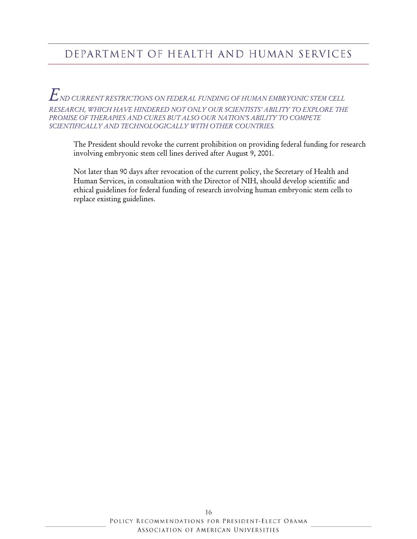### DEPARTMENT OF HEALTH AND HUMAN SERVICES

 $E_{{\scriptscriptstyle N}D}$  current restrictions on federal funding of human embryonic stem cell RESEARCH, WHICH HAVE HINDERED NOT ONLY OUR SCIENTISTS' ABILITY TO EXPLORE THE PROMISE OF THERAPIES AND CURES BUT ALSO OUR NATION'S ABILITY TO COMPETE SCIENTIFICALLY AND TECHNOLOGICALLY WITH OTHER COUNTRIES.

The President should revoke the current prohibition on providing federal funding for research involving embryonic stem cell lines derived after August 9, 2001.

Not later than 90 days after revocation of the current policy, the Secretary of Health and Human Services, in consultation with the Director of NIH, should develop scientific and ethical guidelines for federal funding of research involving human embryonic stem cells to replace existing guidelines.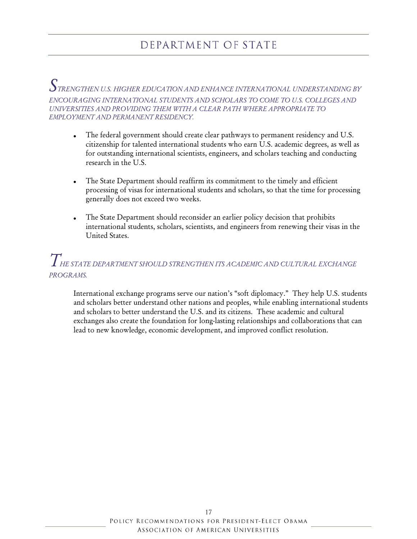## DEPARTMENT OF STATE

#### $\int$ trengthen u.s. higher education and enhance international understanding by ENCOURAGING INTERNATIONAL STUDENTS AND SCHOLARS TO COME TO U.S. COLLEGES AND UNIVERSITIES AND PROVIDING THEM WITH A CLEAR PATH WHERE APPROPRIATE TO EMPLOYMENT AND PERMANENT RESIDENCY.

- The federal government should create clear pathways to permanent residency and U.S.  $\bullet$ citizenship for talented international students who earn U.S. academic degrees, as well as for outstanding international scientists, engineers, and scholars teaching and conducting research in the U.S.
- The State Department should reaffirm its commitment to the timely and efficient processing of visas for international students and scholars, so that the time for processing generally does not exceed two weeks.
- The State Department should reconsider an earlier policy decision that prohibits international students, scholars, scientists, and engineers from renewing their visas in the United States.

## $T$ he state department should strengthen its academic and cultural exchange PROGRAMS.

International exchange programs serve our nation's "soft diplomacy." They help U.S. students and scholars better understand other nations and peoples, while enabling international students and scholars to better understand the U.S. and its citizens. These academic and cultural exchanges also create the foundation for long-lasting relationships and collaborations that can lead to new knowledge, economic development, and improved conflict resolution.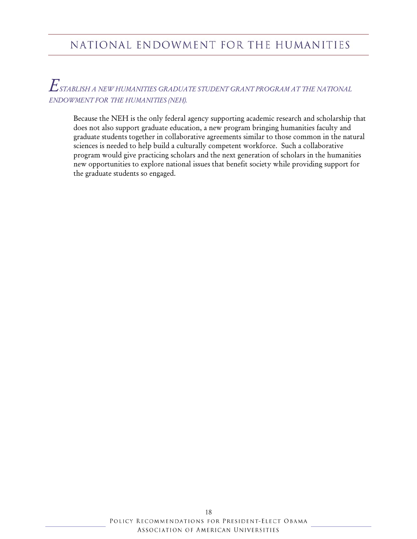#### $E_\textit{STABLISH\,\textit{A NEW HUMANITIES GRADUATE STUDENT \,\textit{GRANT PROGRAM\,\textit{AT THE NATIONAL}}$ *ENDOWMENT FOR THE HUMANITIES (NEH).*

Because the NEH is the only federal agency supporting academic research and scholarship that does not also support graduate education, a new program bringing humanities faculty and graduate students together in collaborative agreements similar to those common in the natural sciences is needed to help build a culturally competent workforce. Such a collaborative program would give practicing scholars and the next generation of scholars in the humanities new opportunities to explore national issues that benefit society while providing support for the graduate students so engaged.